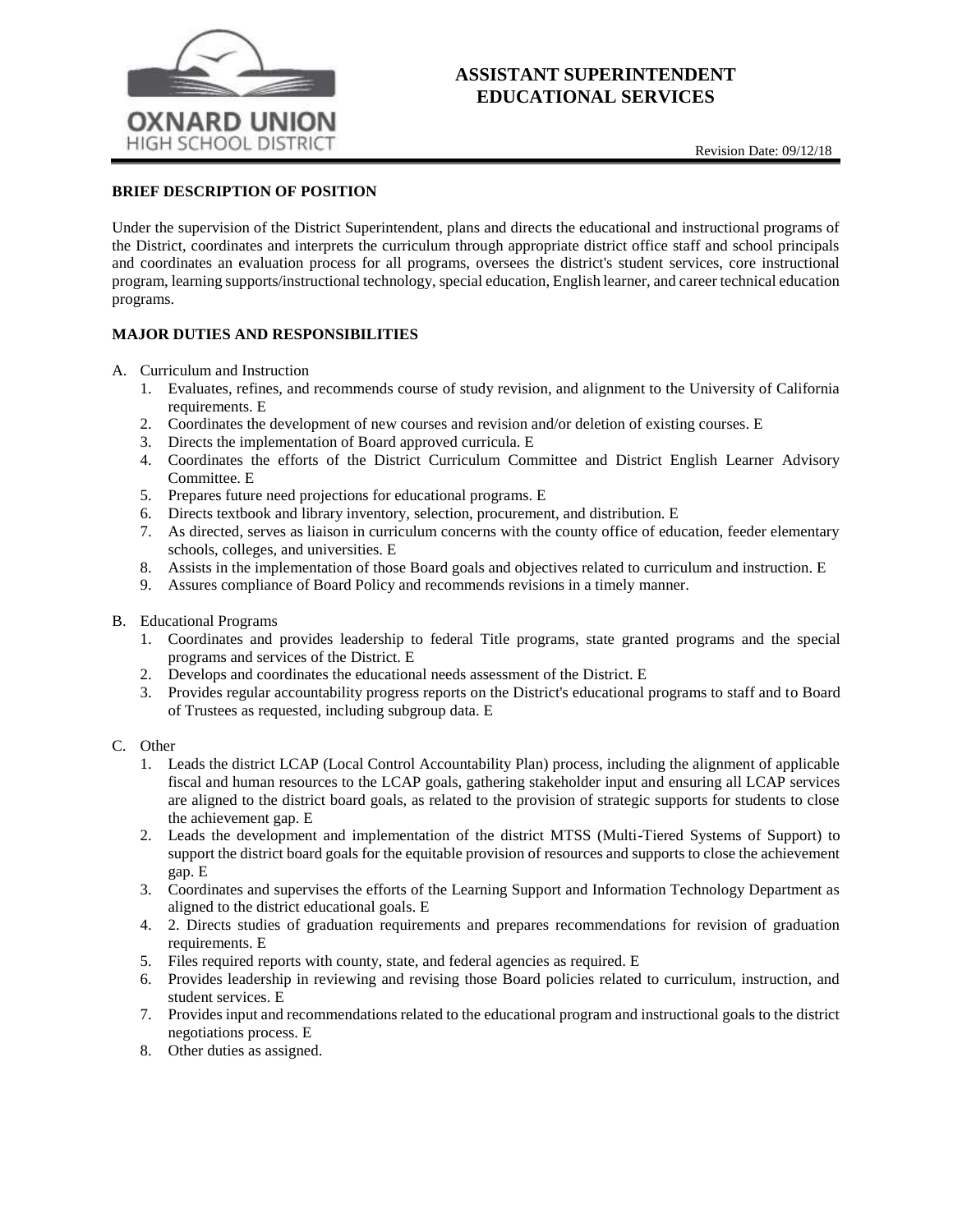

# **ASSISTANT SUPERINTENDENT EDUCATIONAL SERVICES**

### **BRIEF DESCRIPTION OF POSITION**

Under the supervision of the District Superintendent, plans and directs the educational and instructional programs of the District, coordinates and interprets the curriculum through appropriate district office staff and school principals and coordinates an evaluation process for all programs, oversees the district's student services, core instructional program, learning supports/instructional technology, special education, English learner, and career technical education programs.

## **MAJOR DUTIES AND RESPONSIBILITIES**

- A. Curriculum and Instruction
	- 1. Evaluates, refines, and recommends course of study revision, and alignment to the University of California requirements. E
	- 2. Coordinates the development of new courses and revision and/or deletion of existing courses. E
	- 3. Directs the implementation of Board approved curricula. E
	- 4. Coordinates the efforts of the District Curriculum Committee and District English Learner Advisory Committee. E
	- 5. Prepares future need projections for educational programs. E
	- 6. Directs textbook and library inventory, selection, procurement, and distribution. E
	- 7. As directed, serves as liaison in curriculum concerns with the county office of education, feeder elementary schools, colleges, and universities. E
	- 8. Assists in the implementation of those Board goals and objectives related to curriculum and instruction. E
	- 9. Assures compliance of Board Policy and recommends revisions in a timely manner.
- B. Educational Programs
	- 1. Coordinates and provides leadership to federal Title programs, state granted programs and the special programs and services of the District. E
	- 2. Develops and coordinates the educational needs assessment of the District. E
	- 3. Provides regular accountability progress reports on the District's educational programs to staff and to Board of Trustees as requested, including subgroup data. E

### C. Other

- 1. Leads the district LCAP (Local Control Accountability Plan) process, including the alignment of applicable fiscal and human resources to the LCAP goals, gathering stakeholder input and ensuring all LCAP services are aligned to the district board goals, as related to the provision of strategic supports for students to close the achievement gap. E
- 2. Leads the development and implementation of the district MTSS (Multi-Tiered Systems of Support) to support the district board goals for the equitable provision of resources and supports to close the achievement gap. E
- 3. Coordinates and supervises the efforts of the Learning Support and Information Technology Department as aligned to the district educational goals. E
- 4. 2. Directs studies of graduation requirements and prepares recommendations for revision of graduation requirements. E
- 5. Files required reports with county, state, and federal agencies as required. E
- 6. Provides leadership in reviewing and revising those Board policies related to curriculum, instruction, and student services. E
- 7. Provides input and recommendations related to the educational program and instructional goals to the district negotiations process. E
- 8. Other duties as assigned.